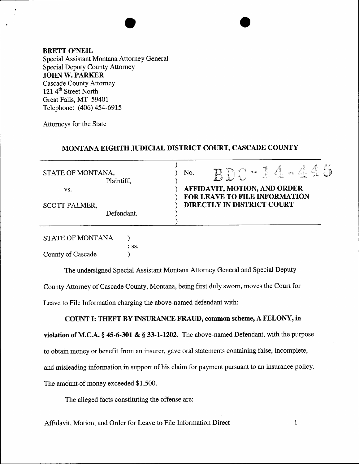BRETT O'NEIL Special Assistant Montana Attorney General Special Deputy County Attorney JOHN W. PARKER Cascade County Attorney 121 $4<sup>th</sup>$  Street North Great Falls, MT 59401 Telephone: (406) 454-6915

Attorneys for the State

## MONTANA EIGHTH JUDICIAL DISTRICT COURT, CASCADE COUNTY

|                             |         | المنطانة                                                                                    |
|-----------------------------|---------|---------------------------------------------------------------------------------------------|
| STATE OF MONTANA,           |         | Ć.<br>No.<br>$\mathcal{L}_{\text{max}}^{\text{max}}(\mathcal{L})$                           |
| Plaintiff,                  |         |                                                                                             |
| VS.<br><b>SCOTT PALMER,</b> |         | AFFIDAVIT, MOTION, AND ORDER<br>FOR LEAVE TO FILE INFORMATION<br>DIRECTLY IN DISTRICT COURT |
|                             |         |                                                                                             |
| <b>STATE OF MONTANA</b>     |         |                                                                                             |
|                             | $:$ SS. |                                                                                             |
| County of Cascade           |         |                                                                                             |

The undersigned Special Assistant Montana Attorney General and Special Deputy County Attomey of Cascade County, Montana, being first duly sworn, moves the Court for Leave to File lnformation charging the above-named defendant with:

## COUNT I: THEFT BY INSURANCE FRAUD, common scheme, A FELONY, in

violation of M.C.A.  $§$  45-6-301 &  $§$  33-1-1202. The above-named Defendant, with the purpose to obtain money or benefit from an insurer, gave oral statements containing false, incomplete, and misleading information in support of his claim for payment pursuant to an insurance policy. The amount of money exceeded \$1,500.

The alleged facts constituting the offense are:

Affidavit, Motion, and Order for Leave to File Information Direct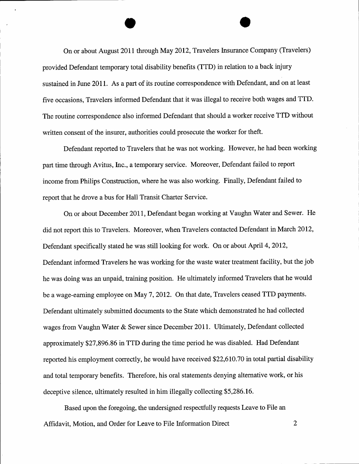On or about August 2011 through May 2012, Travelers Insurance Company (Travelers) provided Defendant temporary total disability benefits (TTD) in relation to a back injury sustained in June 2011. As a part of its routine correspondence with Defendant, and on at least five occasions, Travelers informed Defendant that it was illegal to receive both wages and TTD. The routine correspondence also informed Defendant that should a worker receive TTD without written consent of the insurer, authorities could prosecute the worker for theft.

Defendant reported to Travelers that he was not working. However, he had been working part time through Avitus, Inc., a temporary service. Moreover, Defendant failed to report income from Philips Construction, where he was also working. Finally, Defendant failed to report that he drove a bus for Hall Transit Charter Service.

On or about December 2011, Defendant began working at Vaughn Water and Sewer. He did not report this to Travelers. Moreover, when Travelers contacted Defendant in March 2012, Defendant specifically stated he was still looking for work. On or about April 4, 2012, Defendant informed Travelers he was working for the waste water treatment facility, but the job he was doing was an unpaid, training position. He ultimately informed Travelers that he would be a wage-earning employee on May 7, 2012. On that date, Travelers ceased TTD payments. Defendant ultimately submitted documents to the State which demonstrated he had collected wages from Vaughn Water & Sewer since December 2011. Ultimately, Defendant collected approximately \$27,896.86 in TTD during the time period he was disabled. Had Defendant reported his employment correctly, he would have received \$22,610.70 in total partial disability and total temporary benefits. Therefore, his oral statements denying alternative work, or his deceptive silence, ultimately resulted in him illegally collecting \$5,286.16.

Based upon the foregoing, the undersigned respectfully requests Leave to File an Affidavit, Motion, and Order for Leave to File Information Direct 2, 2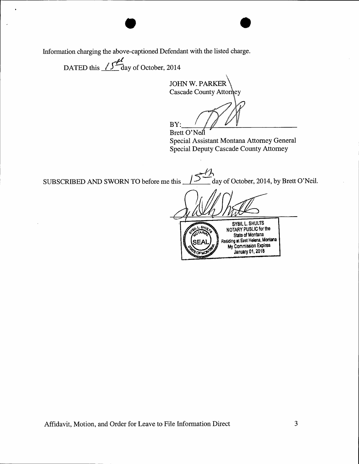Information charging the above-captioned Defendant with the listed charge.

DATED this  $\sqrt{\frac{f^2}{2}}$  day of October, 2014

**JOHN W. PARKER** Cascade County Attorney

BY:

Brett O'Neil Special Assistant Montana Attorney General Special Deputy Cascade County Attorney

day of October, 2014, by Brett O'Neil. SUBSCRIBED AND SWORN TO before me this

SYBIL L. SHULTS<br>NOTARY PUBLIC for the<br>State of Montana  $s_{H}$ Residing at East Helena, Montana My Commission Expires **January 01, 2018**